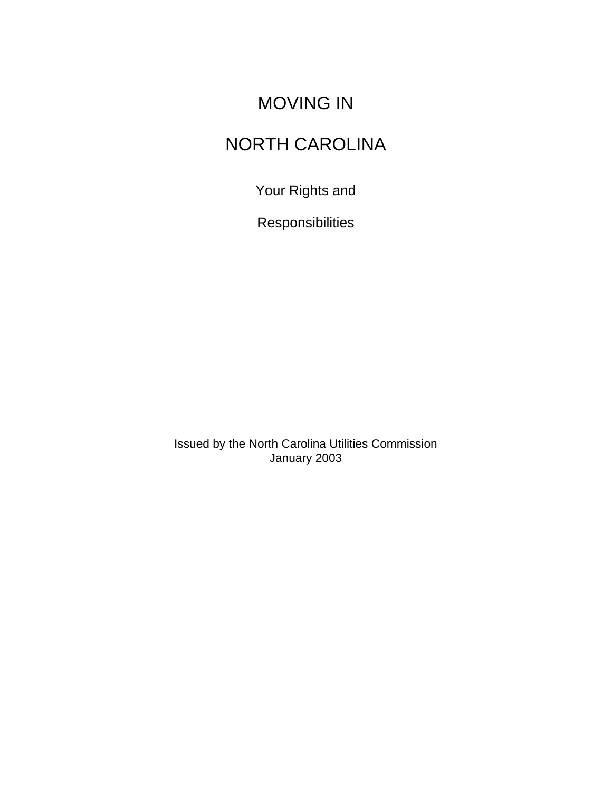# MOVING IN

# NORTH CAROLINA

Your Rights and

Responsibilities

Issued by the North Carolina Utilities Commission January 2003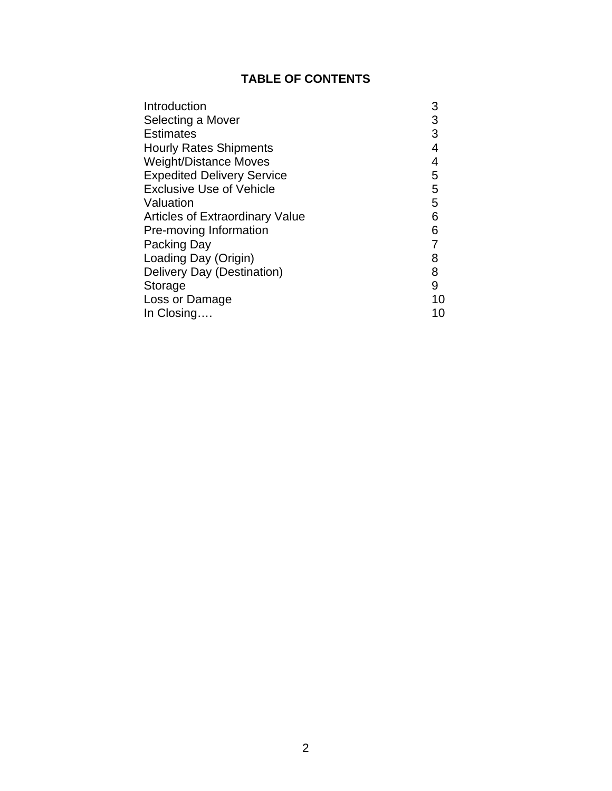### **TABLE OF CONTENTS**

| Introduction                           | 3  |
|----------------------------------------|----|
| Selecting a Mover                      | 3  |
| <b>Estimates</b>                       | 3  |
| <b>Hourly Rates Shipments</b>          | 4  |
| <b>Weight/Distance Moves</b>           | 4  |
| <b>Expedited Delivery Service</b>      | 5  |
| <b>Exclusive Use of Vehicle</b>        | 5  |
| Valuation                              | 5  |
| <b>Articles of Extraordinary Value</b> | 6  |
| Pre-moving Information                 | 6  |
| Packing Day                            | 7  |
| Loading Day (Origin)                   | 8  |
| Delivery Day (Destination)             | 8  |
| Storage                                | 9  |
| Loss or Damage                         | 10 |
| In Closing                             | 10 |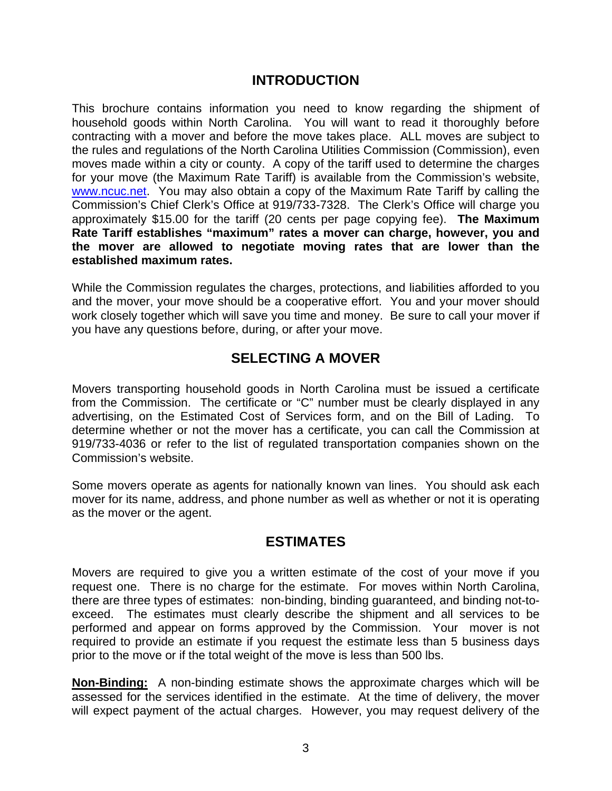#### **INTRODUCTION**

This brochure contains information you need to know regarding the shipment of household goods within North Carolina. You will want to read it thoroughly before contracting with a mover and before the move takes place. ALL moves are subject to the rules and regulations of the North Carolina Utilities Commission (Commission), even moves made within a city or county. A copy of the tariff used to determine the charges for your move (the Maximum Rate Tariff) is available from the Commission's website, www.ncuc.net. You may also obtain a copy of the Maximum Rate Tariff by calling the Commission's Chief Clerk's Office at 919/733-7328. The Clerk's Office will charge you approximately \$15.00 for the tariff (20 cents per page copying fee). **The Maximum Rate Tariff establishes "maximum" rates a mover can charge, however, you and the mover are allowed to negotiate moving rates that are lower than the established maximum rates.** 

While the Commission regulates the charges, protections, and liabilities afforded to you and the mover, your move should be a cooperative effort. You and your mover should work closely together which will save you time and money. Be sure to call your mover if you have any questions before, during, or after your move.

### **SELECTING A MOVER**

Movers transporting household goods in North Carolina must be issued a certificate from the Commission. The certificate or "C" number must be clearly displayed in any advertising, on the Estimated Cost of Services form, and on the Bill of Lading. To determine whether or not the mover has a certificate, you can call the Commission at 919/733-4036 or refer to the list of regulated transportation companies shown on the Commission's website.

Some movers operate as agents for nationally known van lines. You should ask each mover for its name, address, and phone number as well as whether or not it is operating as the mover or the agent.

#### **ESTIMATES**

Movers are required to give you a written estimate of the cost of your move if you request one. There is no charge for the estimate. For moves within North Carolina, there are three types of estimates: non-binding, binding guaranteed, and binding not-toexceed. The estimates must clearly describe the shipment and all services to be performed and appear on forms approved by the Commission. Your mover is not required to provide an estimate if you request the estimate less than 5 business days prior to the move or if the total weight of the move is less than 500 lbs.

**Non-Binding:** A non-binding estimate shows the approximate charges which will be assessed for the services identified in the estimate. At the time of delivery, the mover will expect payment of the actual charges. However, you may request delivery of the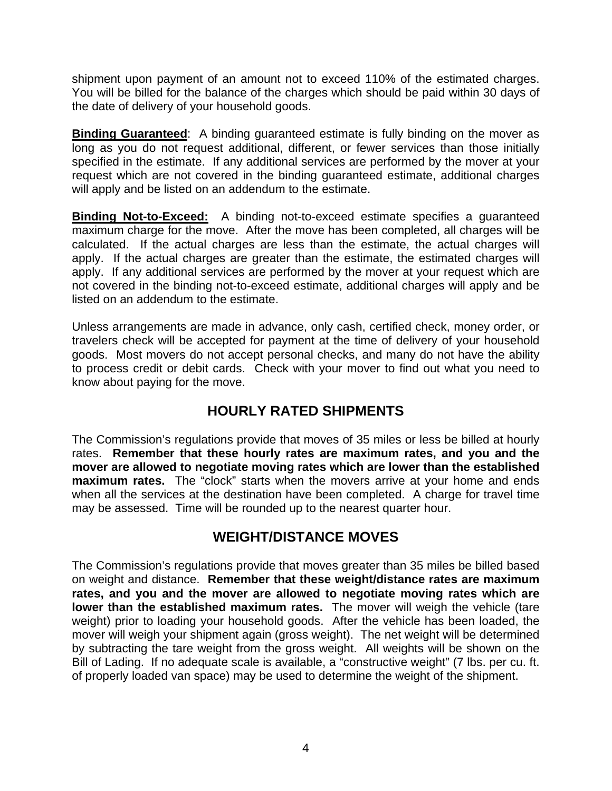shipment upon payment of an amount not to exceed 110% of the estimated charges. You will be billed for the balance of the charges which should be paid within 30 days of the date of delivery of your household goods.

**Binding Guaranteed**: A binding guaranteed estimate is fully binding on the mover as long as you do not request additional, different, or fewer services than those initially specified in the estimate. If any additional services are performed by the mover at your request which are not covered in the binding guaranteed estimate, additional charges will apply and be listed on an addendum to the estimate.

**Binding Not-to-Exceed:** A binding not-to-exceed estimate specifies a guaranteed maximum charge for the move. After the move has been completed, all charges will be calculated. If the actual charges are less than the estimate, the actual charges will apply. If the actual charges are greater than the estimate, the estimated charges will apply. If any additional services are performed by the mover at your request which are not covered in the binding not-to-exceed estimate, additional charges will apply and be listed on an addendum to the estimate.

Unless arrangements are made in advance, only cash, certified check, money order, or travelers check will be accepted for payment at the time of delivery of your household goods. Most movers do not accept personal checks, and many do not have the ability to process credit or debit cards. Check with your mover to find out what you need to know about paying for the move.

## **HOURLY RATED SHIPMENTS**

The Commission's regulations provide that moves of 35 miles or less be billed at hourly rates. **Remember that these hourly rates are maximum rates, and you and the mover are allowed to negotiate moving rates which are lower than the established maximum rates.** The "clock" starts when the movers arrive at your home and ends when all the services at the destination have been completed. A charge for travel time may be assessed. Time will be rounded up to the nearest quarter hour.

## **WEIGHT/DISTANCE MOVES**

The Commission's regulations provide that moves greater than 35 miles be billed based on weight and distance. **Remember that these weight/distance rates are maximum rates, and you and the mover are allowed to negotiate moving rates which are lower than the established maximum rates.** The mover will weigh the vehicle (tare weight) prior to loading your household goods. After the vehicle has been loaded, the mover will weigh your shipment again (gross weight). The net weight will be determined by subtracting the tare weight from the gross weight. All weights will be shown on the Bill of Lading. If no adequate scale is available, a "constructive weight" (7 lbs. per cu. ft. of properly loaded van space) may be used to determine the weight of the shipment.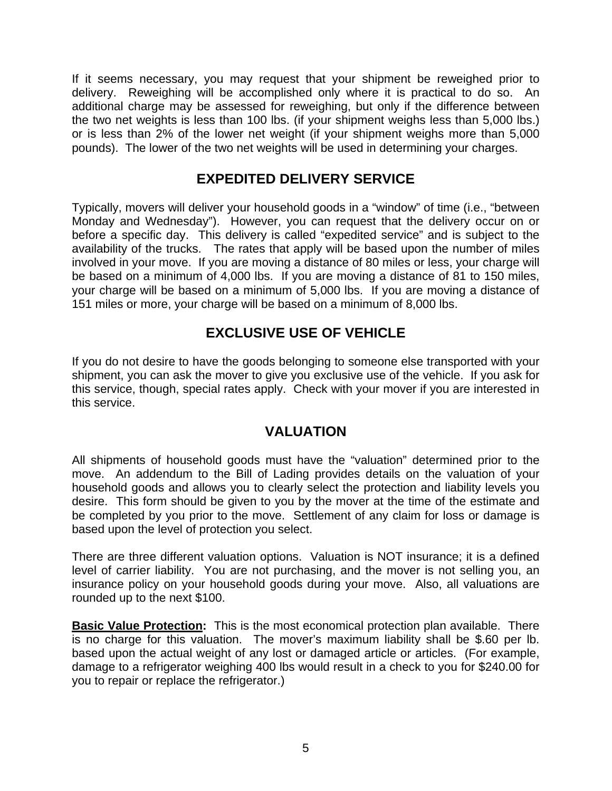If it seems necessary, you may request that your shipment be reweighed prior to delivery. Reweighing will be accomplished only where it is practical to do so. An additional charge may be assessed for reweighing, but only if the difference between the two net weights is less than 100 lbs. (if your shipment weighs less than 5,000 lbs.) or is less than 2% of the lower net weight (if your shipment weighs more than 5,000 pounds). The lower of the two net weights will be used in determining your charges.

### **EXPEDITED DELIVERY SERVICE**

Typically, movers will deliver your household goods in a "window" of time (i.e., "between Monday and Wednesday"). However, you can request that the delivery occur on or before a specific day. This delivery is called "expedited service" and is subject to the availability of the trucks. The rates that apply will be based upon the number of miles involved in your move. If you are moving a distance of 80 miles or less, your charge will be based on a minimum of 4,000 lbs. If you are moving a distance of 81 to 150 miles, your charge will be based on a minimum of 5,000 lbs. If you are moving a distance of 151 miles or more, your charge will be based on a minimum of 8,000 lbs.

## **EXCLUSIVE USE OF VEHICLE**

If you do not desire to have the goods belonging to someone else transported with your shipment, you can ask the mover to give you exclusive use of the vehicle. If you ask for this service, though, special rates apply. Check with your mover if you are interested in this service.

#### **VALUATION**

All shipments of household goods must have the "valuation" determined prior to the move. An addendum to the Bill of Lading provides details on the valuation of your household goods and allows you to clearly select the protection and liability levels you desire. This form should be given to you by the mover at the time of the estimate and be completed by you prior to the move. Settlement of any claim for loss or damage is based upon the level of protection you select.

There are three different valuation options. Valuation is NOT insurance; it is a defined level of carrier liability. You are not purchasing, and the mover is not selling you, an insurance policy on your household goods during your move. Also, all valuations are rounded up to the next \$100.

**Basic Value Protection:** This is the most economical protection plan available. There is no charge for this valuation. The mover's maximum liability shall be \$.60 per lb. based upon the actual weight of any lost or damaged article or articles. (For example, damage to a refrigerator weighing 400 lbs would result in a check to you for \$240.00 for you to repair or replace the refrigerator.)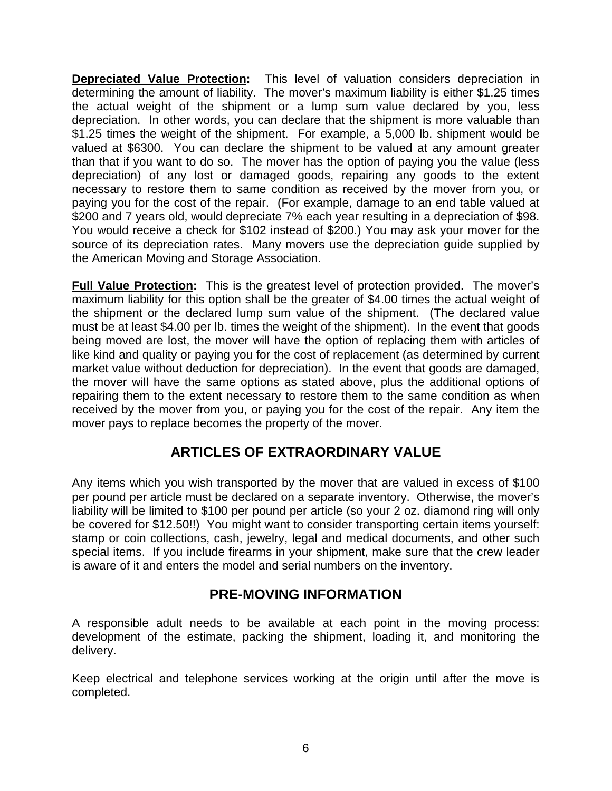**Depreciated Value Protection:** This level of valuation considers depreciation in determining the amount of liability. The mover's maximum liability is either \$1.25 times the actual weight of the shipment or a lump sum value declared by you, less depreciation. In other words, you can declare that the shipment is more valuable than \$1.25 times the weight of the shipment. For example, a 5,000 lb. shipment would be valued at \$6300. You can declare the shipment to be valued at any amount greater than that if you want to do so. The mover has the option of paying you the value (less depreciation) of any lost or damaged goods, repairing any goods to the extent necessary to restore them to same condition as received by the mover from you, or paying you for the cost of the repair. (For example, damage to an end table valued at \$200 and 7 years old, would depreciate 7% each year resulting in a depreciation of \$98. You would receive a check for \$102 instead of \$200.) You may ask your mover for the source of its depreciation rates. Many movers use the depreciation guide supplied by the American Moving and Storage Association.

**Full Value Protection:** This is the greatest level of protection provided. The mover's maximum liability for this option shall be the greater of \$4.00 times the actual weight of the shipment or the declared lump sum value of the shipment. (The declared value must be at least \$4.00 per lb. times the weight of the shipment). In the event that goods being moved are lost, the mover will have the option of replacing them with articles of like kind and quality or paying you for the cost of replacement (as determined by current market value without deduction for depreciation). In the event that goods are damaged, the mover will have the same options as stated above, plus the additional options of repairing them to the extent necessary to restore them to the same condition as when received by the mover from you, or paying you for the cost of the repair. Any item the mover pays to replace becomes the property of the mover.

## **ARTICLES OF EXTRAORDINARY VALUE**

Any items which you wish transported by the mover that are valued in excess of \$100 per pound per article must be declared on a separate inventory. Otherwise, the mover's liability will be limited to \$100 per pound per article (so your 2 oz. diamond ring will only be covered for \$12.50!!) You might want to consider transporting certain items yourself: stamp or coin collections, cash, jewelry, legal and medical documents, and other such special items. If you include firearms in your shipment, make sure that the crew leader is aware of it and enters the model and serial numbers on the inventory.

## **PRE-MOVING INFORMATION**

A responsible adult needs to be available at each point in the moving process: development of the estimate, packing the shipment, loading it, and monitoring the delivery.

Keep electrical and telephone services working at the origin until after the move is completed.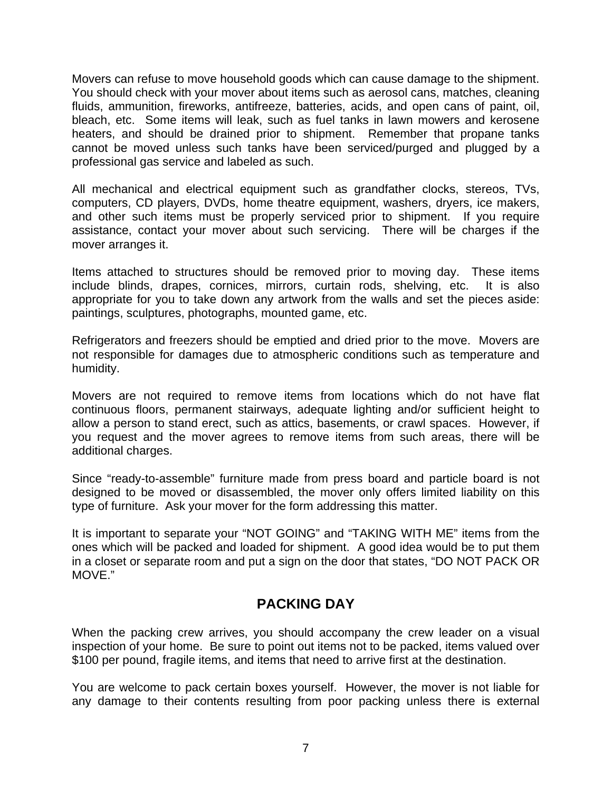Movers can refuse to move household goods which can cause damage to the shipment. You should check with your mover about items such as aerosol cans, matches, cleaning fluids, ammunition, fireworks, antifreeze, batteries, acids, and open cans of paint, oil, bleach, etc. Some items will leak, such as fuel tanks in lawn mowers and kerosene heaters, and should be drained prior to shipment. Remember that propane tanks cannot be moved unless such tanks have been serviced/purged and plugged by a professional gas service and labeled as such.

All mechanical and electrical equipment such as grandfather clocks, stereos, TVs, computers, CD players, DVDs, home theatre equipment, washers, dryers, ice makers, and other such items must be properly serviced prior to shipment. If you require assistance, contact your mover about such servicing. There will be charges if the mover arranges it.

Items attached to structures should be removed prior to moving day. These items include blinds, drapes, cornices, mirrors, curtain rods, shelving, etc. It is also appropriate for you to take down any artwork from the walls and set the pieces aside: paintings, sculptures, photographs, mounted game, etc.

Refrigerators and freezers should be emptied and dried prior to the move. Movers are not responsible for damages due to atmospheric conditions such as temperature and humidity.

Movers are not required to remove items from locations which do not have flat continuous floors, permanent stairways, adequate lighting and/or sufficient height to allow a person to stand erect, such as attics, basements, or crawl spaces. However, if you request and the mover agrees to remove items from such areas, there will be additional charges.

Since "ready-to-assemble" furniture made from press board and particle board is not designed to be moved or disassembled, the mover only offers limited liability on this type of furniture. Ask your mover for the form addressing this matter.

It is important to separate your "NOT GOING" and "TAKING WITH ME" items from the ones which will be packed and loaded for shipment. A good idea would be to put them in a closet or separate room and put a sign on the door that states, "DO NOT PACK OR MOVE."

## **PACKING DAY**

When the packing crew arrives, you should accompany the crew leader on a visual inspection of your home. Be sure to point out items not to be packed, items valued over \$100 per pound, fragile items, and items that need to arrive first at the destination.

You are welcome to pack certain boxes yourself. However, the mover is not liable for any damage to their contents resulting from poor packing unless there is external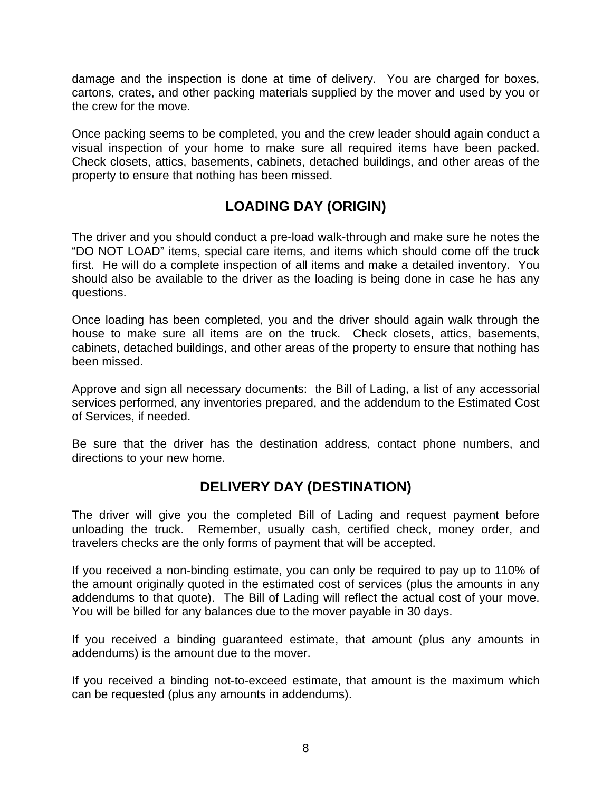damage and the inspection is done at time of delivery. You are charged for boxes, cartons, crates, and other packing materials supplied by the mover and used by you or the crew for the move.

Once packing seems to be completed, you and the crew leader should again conduct a visual inspection of your home to make sure all required items have been packed. Check closets, attics, basements, cabinets, detached buildings, and other areas of the property to ensure that nothing has been missed.

## **LOADING DAY (ORIGIN)**

The driver and you should conduct a pre-load walk-through and make sure he notes the "DO NOT LOAD" items, special care items, and items which should come off the truck first. He will do a complete inspection of all items and make a detailed inventory. You should also be available to the driver as the loading is being done in case he has any questions.

Once loading has been completed, you and the driver should again walk through the house to make sure all items are on the truck. Check closets, attics, basements, cabinets, detached buildings, and other areas of the property to ensure that nothing has been missed.

Approve and sign all necessary documents: the Bill of Lading, a list of any accessorial services performed, any inventories prepared, and the addendum to the Estimated Cost of Services, if needed.

Be sure that the driver has the destination address, contact phone numbers, and directions to your new home.

## **DELIVERY DAY (DESTINATION)**

The driver will give you the completed Bill of Lading and request payment before unloading the truck. Remember, usually cash, certified check, money order, and travelers checks are the only forms of payment that will be accepted.

If you received a non-binding estimate, you can only be required to pay up to 110% of the amount originally quoted in the estimated cost of services (plus the amounts in any addendums to that quote). The Bill of Lading will reflect the actual cost of your move. You will be billed for any balances due to the mover payable in 30 days.

If you received a binding guaranteed estimate, that amount (plus any amounts in addendums) is the amount due to the mover.

If you received a binding not-to-exceed estimate, that amount is the maximum which can be requested (plus any amounts in addendums).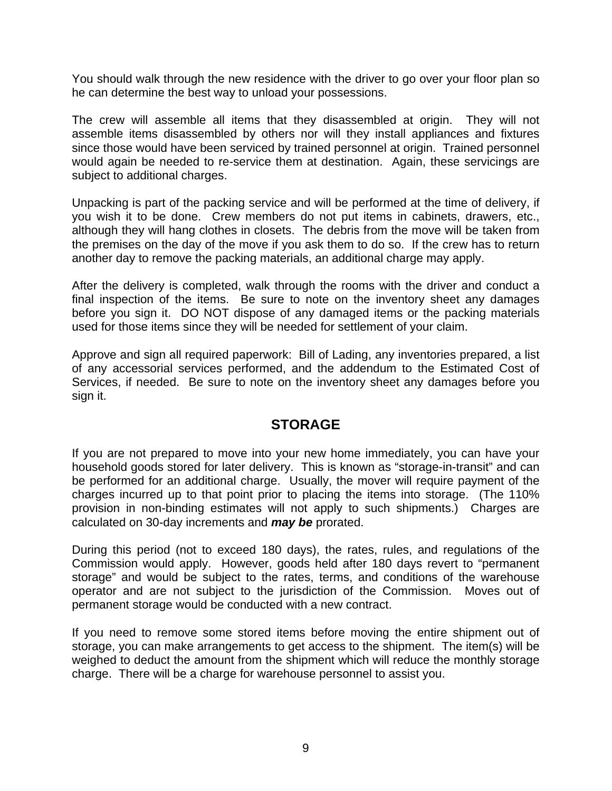You should walk through the new residence with the driver to go over your floor plan so he can determine the best way to unload your possessions.

The crew will assemble all items that they disassembled at origin. They will not assemble items disassembled by others nor will they install appliances and fixtures since those would have been serviced by trained personnel at origin. Trained personnel would again be needed to re-service them at destination. Again, these servicings are subject to additional charges.

Unpacking is part of the packing service and will be performed at the time of delivery, if you wish it to be done. Crew members do not put items in cabinets, drawers, etc., although they will hang clothes in closets. The debris from the move will be taken from the premises on the day of the move if you ask them to do so. If the crew has to return another day to remove the packing materials, an additional charge may apply.

After the delivery is completed, walk through the rooms with the driver and conduct a final inspection of the items. Be sure to note on the inventory sheet any damages before you sign it. DO NOT dispose of any damaged items or the packing materials used for those items since they will be needed for settlement of your claim.

Approve and sign all required paperwork: Bill of Lading, any inventories prepared, a list of any accessorial services performed, and the addendum to the Estimated Cost of Services, if needed. Be sure to note on the inventory sheet any damages before you sign it.

## **STORAGE**

If you are not prepared to move into your new home immediately, you can have your household goods stored for later delivery. This is known as "storage-in-transit" and can be performed for an additional charge. Usually, the mover will require payment of the charges incurred up to that point prior to placing the items into storage. (The 110% provision in non-binding estimates will not apply to such shipments.) Charges are calculated on 30-day increments and *may be* prorated.

During this period (not to exceed 180 days), the rates, rules, and regulations of the Commission would apply. However, goods held after 180 days revert to "permanent storage" and would be subject to the rates, terms, and conditions of the warehouse operator and are not subject to the jurisdiction of the Commission. Moves out of permanent storage would be conducted with a new contract.

If you need to remove some stored items before moving the entire shipment out of storage, you can make arrangements to get access to the shipment. The item(s) will be weighed to deduct the amount from the shipment which will reduce the monthly storage charge. There will be a charge for warehouse personnel to assist you.